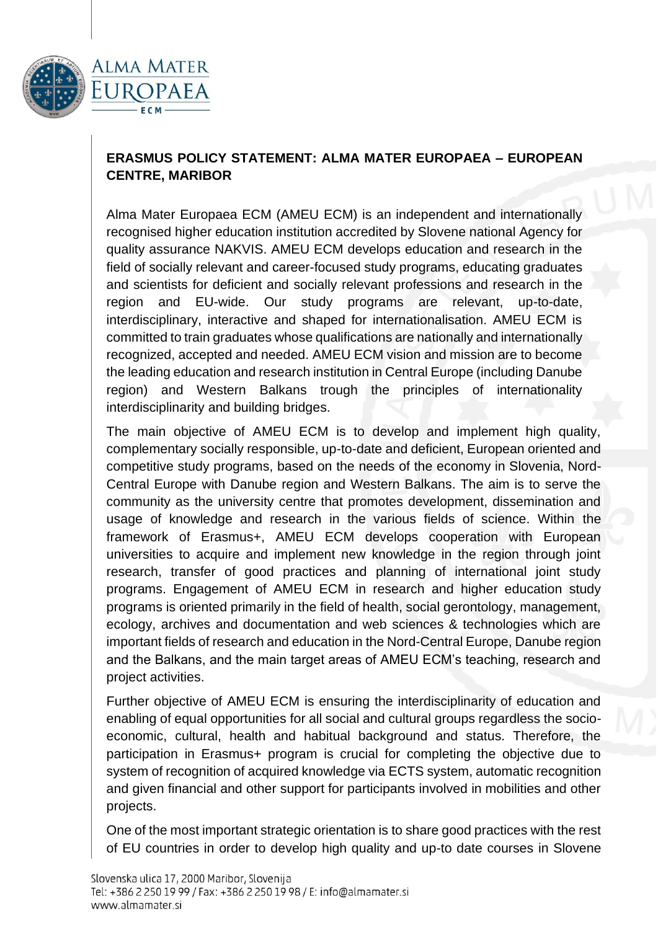

## **ERASMUS POLICY STATEMENT: ALMA MATER EUROPAEA – EUROPEAN CENTRE, MARIBOR**

Alma Mater Europaea ECM (AMEU ECM) is an independent and internationally recognised higher education institution accredited by Slovene national Agency for quality assurance NAKVIS. AMEU ECM develops education and research in the field of socially relevant and career-focused study programs, educating graduates and scientists for deficient and socially relevant professions and research in the region and EU-wide. Our study programs are relevant, up-to-date, interdisciplinary, interactive and shaped for internationalisation. AMEU ECM is committed to train graduates whose qualifications are nationally and internationally recognized, accepted and needed. AMEU ECM vision and mission are to become the leading education and research institution in Central Europe (including Danube region) and Western Balkans trough the principles of internationality interdisciplinarity and building bridges.

The main objective of AMEU ECM is to develop and implement high quality, complementary socially responsible, up-to-date and deficient, European oriented and competitive study programs, based on the needs of the economy in Slovenia, Nord-Central Europe with Danube region and Western Balkans. The aim is to serve the community as the university centre that promotes development, dissemination and usage of knowledge and research in the various fields of science. Within the framework of Erasmus+, AMEU ECM develops cooperation with European universities to acquire and implement new knowledge in the region through joint research, transfer of good practices and planning of international joint study programs. Engagement of AMEU ECM in research and higher education study programs is oriented primarily in the field of health, social gerontology, management, ecology, archives and documentation and web sciences & technologies which are important fields of research and education in the Nord-Central Europe, Danube region and the Balkans, and the main target areas of AMEU ECM's teaching, research and project activities.

Further objective of AMEU ECM is ensuring the interdisciplinarity of education and enabling of equal opportunities for all social and cultural groups regardless the socioeconomic, cultural, health and habitual background and status. Therefore, the participation in Erasmus+ program is crucial for completing the objective due to system of recognition of acquired knowledge via ECTS system, automatic recognition and given financial and other support for participants involved in mobilities and other projects.

One of the most important strategic orientation is to share good practices with the rest of EU countries in order to develop high quality and up-to date courses in Slovene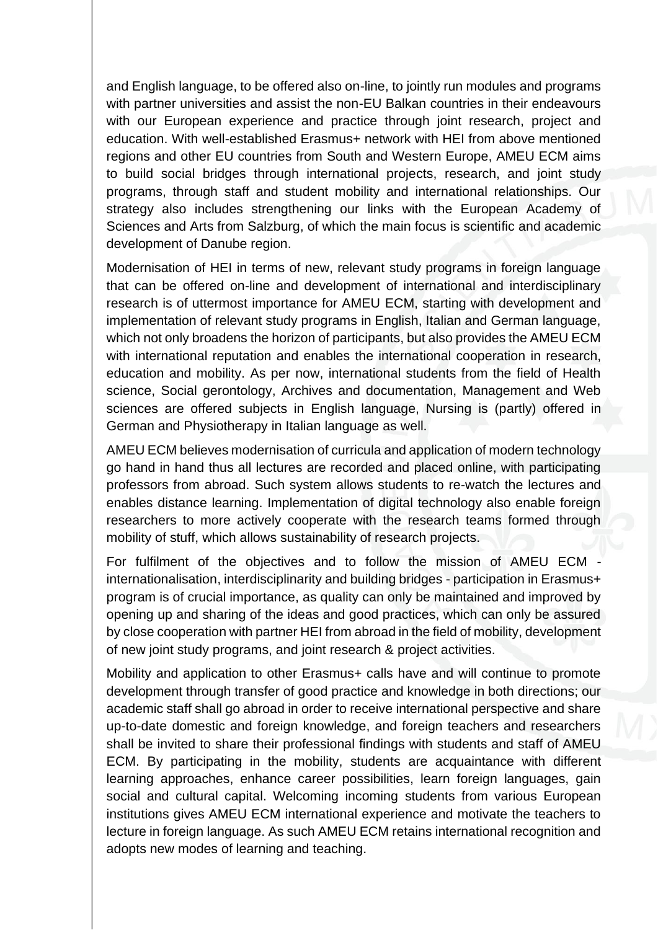and English language, to be offered also on-line, to jointly run modules and programs with partner universities and assist the non-EU Balkan countries in their endeavours with our European experience and practice through joint research, project and education. With well-established Erasmus+ network with HEI from above mentioned regions and other EU countries from South and Western Europe, AMEU ECM aims to build social bridges through international projects, research, and joint study programs, through staff and student mobility and international relationships. Our strategy also includes strengthening our links with the European Academy of Sciences and Arts from Salzburg, of which the main focus is scientific and academic development of Danube region.

Modernisation of HEI in terms of new, relevant study programs in foreign language that can be offered on-line and development of international and interdisciplinary research is of uttermost importance for AMEU ECM, starting with development and implementation of relevant study programs in English, Italian and German language, which not only broadens the horizon of participants, but also provides the AMEU ECM with international reputation and enables the international cooperation in research, education and mobility. As per now, international students from the field of Health science, Social gerontology, Archives and documentation, Management and Web sciences are offered subjects in English language, Nursing is (partly) offered in German and Physiotherapy in Italian language as well.

AMEU ECM believes modernisation of curricula and application of modern technology go hand in hand thus all lectures are recorded and placed online, with participating professors from abroad. Such system allows students to re-watch the lectures and enables distance learning. Implementation of digital technology also enable foreign researchers to more actively cooperate with the research teams formed through mobility of stuff, which allows sustainability of research projects.

For fulfilment of the objectives and to follow the mission of AMEU ECM internationalisation, interdisciplinarity and building bridges - participation in Erasmus+ program is of crucial importance, as quality can only be maintained and improved by opening up and sharing of the ideas and good practices, which can only be assured by close cooperation with partner HEI from abroad in the field of mobility, development of new joint study programs, and joint research & project activities.

Mobility and application to other Erasmus+ calls have and will continue to promote development through transfer of good practice and knowledge in both directions; our academic staff shall go abroad in order to receive international perspective and share up-to-date domestic and foreign knowledge, and foreign teachers and researchers shall be invited to share their professional findings with students and staff of AMEU ECM. By participating in the mobility, students are acquaintance with different learning approaches, enhance career possibilities, learn foreign languages, gain social and cultural capital. Welcoming incoming students from various European institutions gives AMEU ECM international experience and motivate the teachers to lecture in foreign language. As such AMEU ECM retains international recognition and adopts new modes of learning and teaching.